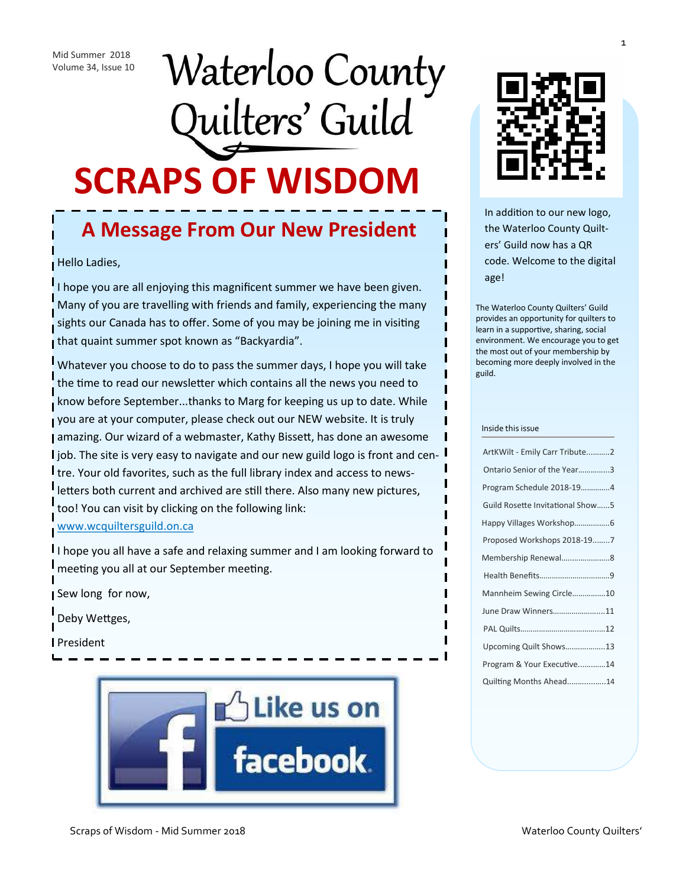# Waterloo County Quilters' Guild **SCRAPS OF WISDOM**

### **A Message From Our New President**

Hello Ladies,

I hope you are all enjoying this magnificent summer we have been given. Many of you are travelling with friends and family, experiencing the many sights our Canada has to offer. Some of you may be joining me in visiting that quaint summer spot known as "Backyardia".

Whatever you choose to do to pass the summer days, I hope you will take the time to read our newsletter which contains all the news you need to know before September...thanks to Marg for keeping us up to date. While you are at your computer, please check out our NEW website. It is truly amazing. Our wizard of a webmaster, Kathy Bissett, has done an awesome l job. The site is very easy to navigate and our new guild logo is front and centre. Your old favorites, such as the full library index and access to newsletters both current and archived are still there. Also many new pictures, too! You can visit by clicking on the following link: [www.wcquiltersguild.on.ca](file:///C:/Users/margs_000/Links)

I hope you all have a safe and relaxing summer and I am looking forward to meeting you all at our September meeting.

Sew long for now,

Deby Wettges,

President





In addition to our new logo, the Waterloo County Quilters' Guild now has a QR code. Welcome to the digital age!

The Waterloo County Quilters' Guild provides an opportunity for quilters to learn in a supportive, sharing, social environment. We encourage you to get the most out of your membership by becoming more deeply involved in the guild.

#### Inside this issue

| ArtKWilt - Emily Carr Tribute2   |
|----------------------------------|
| Ontario Senior of the Year3      |
| Program Schedule 2018-194        |
| Guild Rosette Invitational Show5 |
|                                  |
| Proposed Workshops 2018-197      |
| Membership Renewal8              |
|                                  |
| Mannheim Sewing Circle10         |
| June Draw Winners11              |
|                                  |
| Upcoming Quilt Shows13           |
| Program & Your Executive14       |
| Quilting Months Ahead14          |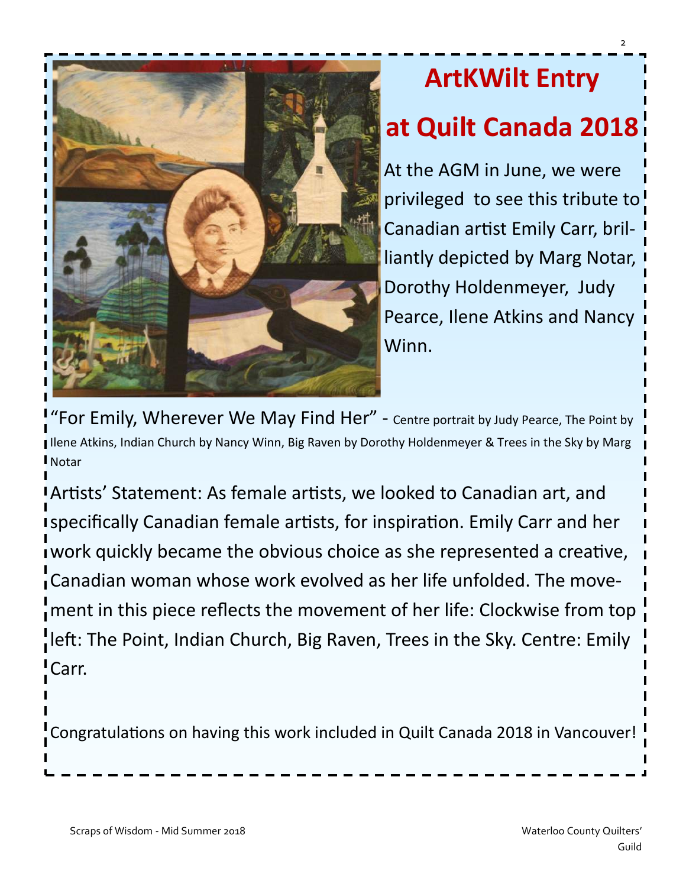

# **ArtKWilt Entry at Quilt Canada 2018**

At the AGM in June, we were privileged to see this tribute to Canadian artist Emily Carr, brilliantly depicted by Marg Notar, Dorothy Holdenmeyer, Judy Pearce, Ilene Atkins and Nancy Winn.

For Emily, Wherever We May Find Her" - Centre portrait by Judy Pearce, The Point by Ilene Atkins, Indian Church by Nancy Winn, Big Raven by Dorothy Holdenmeyer & Trees in the Sky by Marg Notar

Artists' Statement: As female artists, we looked to Canadian art, and specifically Canadian female artists, for inspiration. Emily Carr and her work quickly became the obvious choice as she represented a creative, Canadian woman whose work evolved as her life unfolded. The movement in this piece reflects the movement of her life: Clockwise from top left: The Point, Indian Church, Big Raven, Trees in the Sky. Centre: Emily Carr.

Congratulations on having this work included in Quilt Canada 2018 in Vancouver!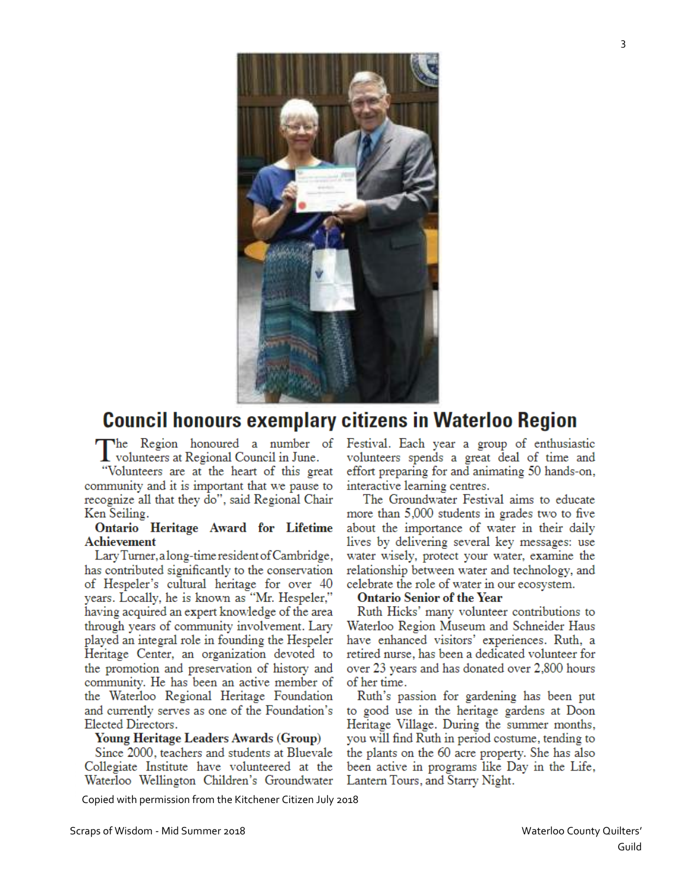

#### **Council honours exemplary citizens in Waterloo Region**

The Region honoured a number of I volunteers at Regional Council in June.

"Volunteers are at the heart of this great community and it is important that we pause to recognize all that they do", said Regional Chair Ken Seiling.

#### Ontario Heritage Award for Lifetime **Achievement**

Lary Turner, a long-time resident of Cambridge, has contributed significantly to the conservation of Hespeler's cultural heritage for over 40 years. Locally, he is known as "Mr. Hespeler," having acquired an expert knowledge of the area through years of community involvement. Lary played an integral role in founding the Hespeler Heritage Center, an organization devoted to the promotion and preservation of history and community. He has been an active member of the Waterloo Regional Heritage Foundation and currently serves as one of the Foundation's Elected Directors.

#### Young Heritage Leaders Awards (Group)

Since 2000, teachers and students at Bluevale Collegiate Institute have volunteered at the Waterloo Wellington Children's Groundwater

Festival. Each year a group of enthusiastic volunteers spends a great deal of time and effort preparing for and animating 50 hands-on, interactive learning centres.

The Groundwater Festival aims to educate more than 5,000 students in grades two to five about the importance of water in their daily lives by delivering several key messages: use water wisely, protect your water, examine the relationship between water and technology, and celebrate the role of water in our ecosystem.

#### **Ontario Senior of the Year**

Ruth Hicks' many volunteer contributions to Waterloo Region Museum and Schneider Haus have enhanced visitors' experiences. Ruth, a retired nurse, has been a dedicated volunteer for over 23 years and has donated over 2,800 hours of her time.

Ruth's passion for gardening has been put to good use in the heritage gardens at Doon Heritage Village. During the summer months, you will find Ruth in period costume, tending to the plants on the 60 acre property. She has also been active in programs like Day in the Life, Lantern Tours, and Starry Night.

Copied with permission from the Kitchener Citizen July 2018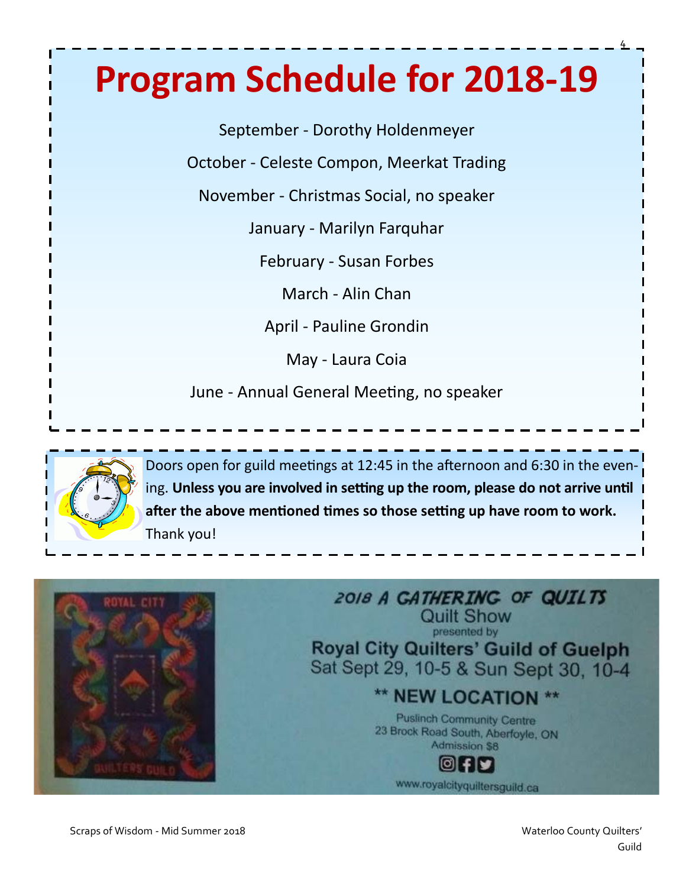# **Program Schedule for 2018-19**

September - Dorothy Holdenmeyer

October - Celeste Compon, Meerkat Trading

November - Christmas Social, no speaker

January - Marilyn Farquhar

February - Susan Forbes

March - Alin Chan

April - Pauline Grondin

May - Laura Coia

June - Annual General Meeting, no speaker



Doors open for guild meetings at 12:45 in the afternoon and 6:30 in the evening. **Unless you are involved in setting up the room, please do not arrive until after the above mentioned times so those setting up have room to work.** Thank you!



Scraps of Wisdom - Mid Summer 2018 Waterloo County Quilters' Natural Material Occurs of Waterloo County Quilters'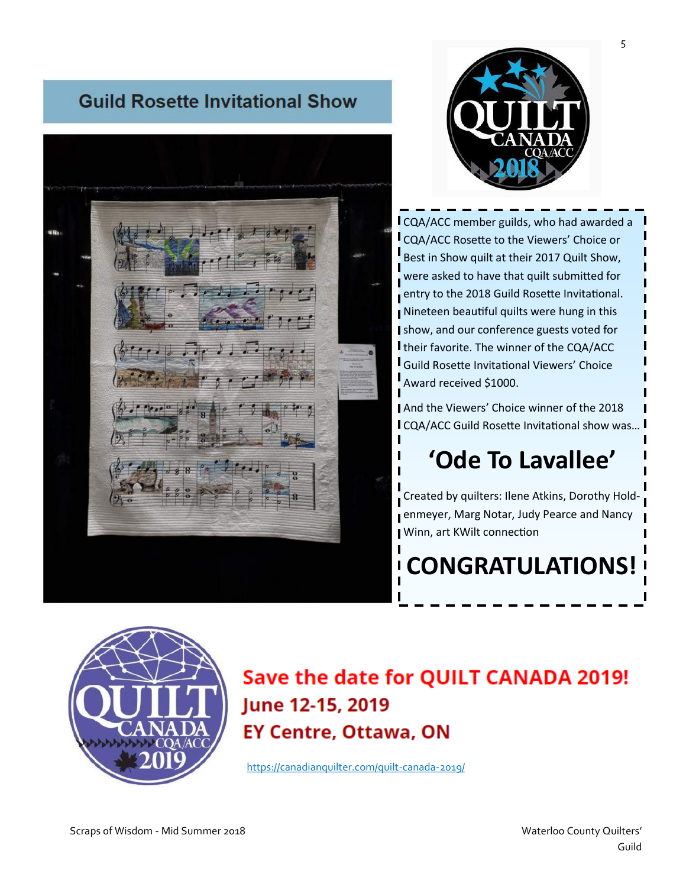#### **Guild Rosette Invitational Show**





CQA/ACC member guilds, who had awarded a CQA/ACC Rosette to the Viewers' Choice or Best in Show quilt at their 2017 Quilt Show, were asked to have that quilt submitted for entry to the 2018 Guild Rosette Invitational. Nineteen beautiful quilts were hung in this show, and our conference guests voted for I their favorite. The winner of the CQA/ACC Guild Rosette Invitational Viewers' Choice Award received \$1000.

And the Viewers' Choice winner of the 2018 CQA/ACC Guild Rosette Invitational show was…

### **'Ode To Lavallee'**

Created by quilters: Ilene Atkins, Dorothy Holdenmeyer, Marg Notar, Judy Pearce and Nancy Winn, art KWilt connection

**CONGRATULATIONS!**

### Save the date for QUILT CANADA 2019! June 12-15, 2019 **EY Centre, Ottawa, ON**

[https://canadianquilter.com/quilt](file:///C:/Users/margs_000/Links)-canada-2019/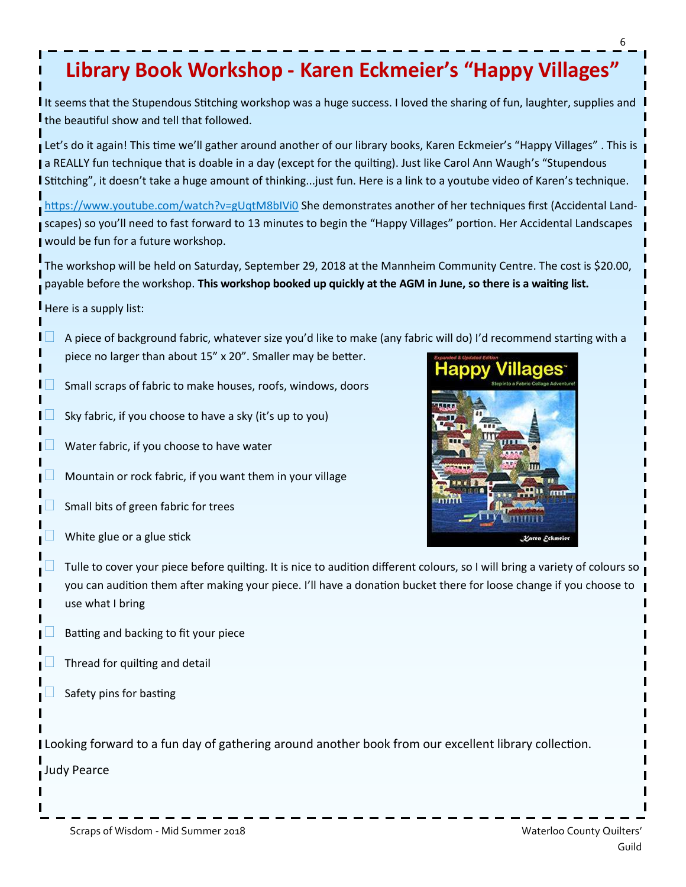### **Library Book Workshop - Karen Eckmeier's "Happy Villages"**

It seems that the Stupendous Stitching workshop was a huge success. I loved the sharing of fun, laughter, supplies and I the beautiful show and tell that followed.

Let's do it again! This time we'll gather around another of our library books, Karen Eckmeier's "Happy Villages" . This is a REALLY fun technique that is doable in a day (except for the quilting). Just like Carol Ann Waugh's "Stupendous I Stitching", it doesn't take a huge amount of thinking...just fun. Here is a link to a youtube video of Karen's technique.

[https://www.youtube.com/watch?v=gUqtM8bIVi0](file:///C:/Users/margs_000/Links) She demonstrates another of her techniques first (Accidental Landscapes) so you'll need to fast forward to 13 minutes to begin the "Happy Villages" portion. Her Accidental Landscapes would be fun for a future workshop.

The workshop will be held on Saturday, September 29, 2018 at the Mannheim Community Centre. The cost is \$20.00, payable before the workshop. **This workshop booked up quickly at the AGM in June, so there is a waiting list.**

Here is a supply list:

- A piece of background fabric, whatever size you'd like to make (any fabric will do) I'd recommend starting with a piece no larger than about 15" x 20". Smaller may be better.
- Small scraps of fabric to make houses, roofs, windows, doors
- Sky fabric, if you choose to have a sky (it's up to you)
- Water fabric, if you choose to have water
- Mountain or rock fabric, if you want them in your village
- Small bits of green fabric for trees
- White glue or a glue stick



- Tulle to cover your piece before quilting. It is nice to audition different colours, so I will bring a variety of colours so you can audition them after making your piece. I'll have a donation bucket there for loose change if you choose to use what I bring
- Batting and backing to fit your piece
- Thread for quilting and detail
- Safety pins for basting

Looking forward to a fun day of gathering around another book from our excellent library collection.

Judy Pearce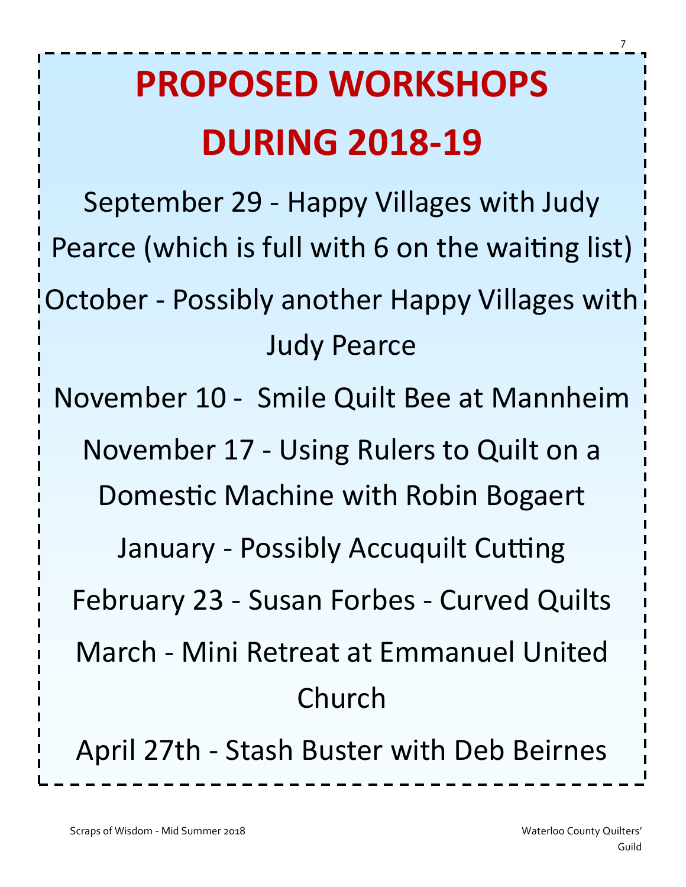# **PROPOSED WORKSHOPS DURING 2018-19**

September 29 - Happy Villages with Judy Pearce (which is full with 6 on the waiting list) October - Possibly another Happy Villages with Judy Pearce November 10 - Smile Quilt Bee at Mannheim November 17 - Using Rulers to Quilt on a Domestic Machine with Robin Bogaert January - Possibly Accuquilt Cutting February 23 - Susan Forbes - Curved Quilts March - Mini Retreat at Emmanuel United Church April 27th - Stash Buster with Deb Beirnes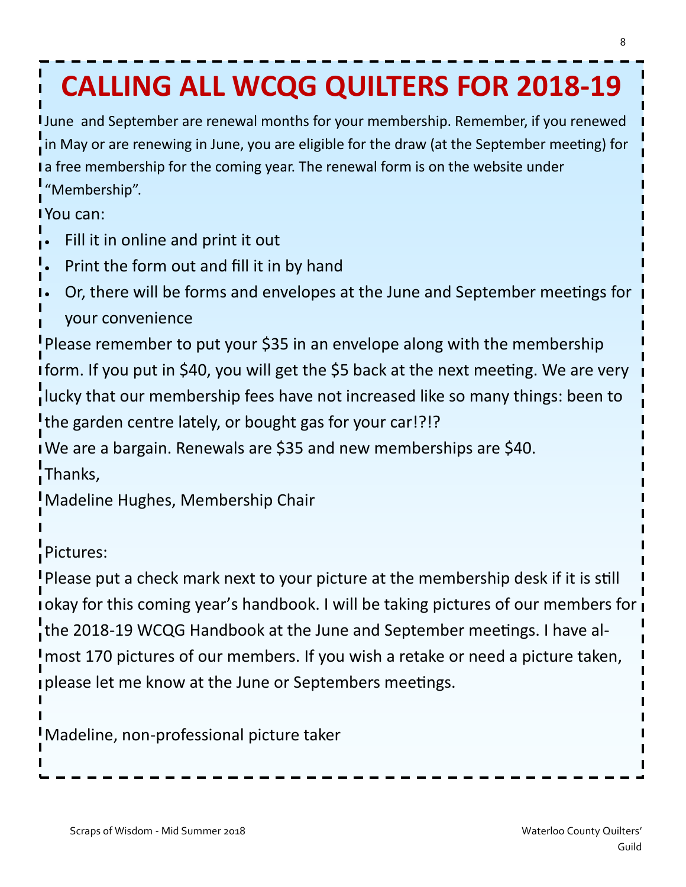# **CALLING ALL WCQG QUILTERS FOR 2018-19**

June and September are renewal months for your membership. Remember, if you renewed in May or are renewing in June, you are eligible for the draw (at the September meeting) for I a free membership for the coming year. The renewal form is on the website under "Membership".

You can:

- Fill it in online and print it out
- Print the form out and fill it in by hand
- Or, there will be forms and envelopes at the June and September meetings for your convenience

Please remember to put your \$35 in an envelope along with the membership form. If you put in \$40, you will get the \$5 back at the next meeting. We are very lucky that our membership fees have not increased like so many things: been to the garden centre lately, or bought gas for your car!?!?

We are a bargain. Renewals are \$35 and new memberships are \$40.

Thanks,

Madeline Hughes, Membership Chair

Pictures:

Please put a check mark next to your picture at the membership desk if it is still okay for this coming year's handbook. I will be taking pictures of our members for the 2018-19 WCQG Handbook at the June and September meetings. I have almost 170 pictures of our members. If you wish a retake or need a picture taken, please let me know at the June or Septembers meetings.

Madeline, non-professional picture taker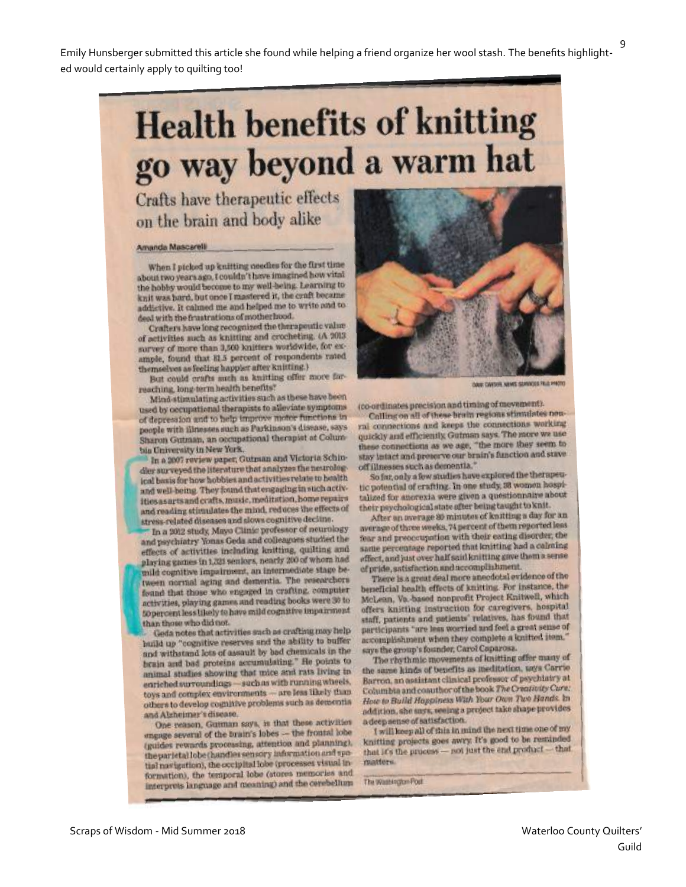# **Health benefits of knitting** go way beyond a warm hat

Crafts have therapeutic effects on the brain and body alike

#### Amanda Mascarelli

When I picked up knitting needles for the first time about two years ago, I couldn't have imagined how vital the hobby would become to my well-being. Learning to knit was hard, but once I mastered it, the craft became addictive. It calmed me and helped me to write and to deal with the frustrations of motherhood.

Crafters have long recognized the therapeutic value of activities such as knitting and crocheting. (A 2013, survey of more than 3,500 knitters worldwide, for example, found that 81.5 percent of respondents rated themselves as feeling happier after knitting.)

But could crafts such as knitting offer more farreaching, long-term health benefits?

Mind-stimulating activities such as these have been used by occupational therapists to alleviate symptoms of depression and to help improve motor functions in people with illnesses such as Parkinson's disease, says Sharon Gutman, an occupational therapist at Columbia University in New York.

In a 2007 review paper, Gutman and Victoria Schindler surveyed the literature that analyzes the neurological basis for how hobbies and activities relate to health and well-being. They found that engaging in such activities as arts and crafts, music, meditation, home repairs and reading stimulates the mind, reduces the effects of stress-related diseases and slows cognitive decline.

In a 2012 study, Mayo Clinic professor of neurology and psychiatry Yonas Geda and colleagues studied the effects of activities including knitting, quilting and playing games in 1,321 seniors, nearly 200 of whom had mild cognitive impairment, an intermediate stage between normal aging and dementia. The researchers found that those who engaged in crafting, computer activities, playing games and reading books were 30 to 50 percent less likely to have mild cognitive impairment than those who did not.

Geda notes that activities such as crafting may help build up "cognitive reserves and the ability to buffer and withstand lots of assault by bad chemicals in the brain and bad proteins accumulating." He points to animal studies showing that mice and rats living in enriched surroundings-such as with running wheels. toys and complex environments - are less likely than others to develop cognitive problems such as dementiaand Alzheimer's disease.

One reason, Gutman says, is that these activities engage several of the brain's lobes - the frontal lobe (guides rewards processing, attention and planning). the parietal lobe (handles sensory information and spotial navigation), the occipital lobe (processes visual in formation), the temporal lobe (stores memories and interprets language and meaning) and the cerebellum



OAK CAYTER, NEWS SERVICES FRIE FHOTO

(co-ordinates precision and timing of movement).

Calling on all of these brain regions stimulates neural connections and keeps the connections working quickly and efficiently. Gutman says. The more we use these connections as we age, "the more they seem to stay intact and preserve our brain's function and stave off illnesses such as dementia."

So far, only a few studies have explored the therapeutic potential of crafting. In one study, 38 women hospitalized for anorexia were given a questionnaire about their psychological state after being taught to knit.

After an average 80 minutes of knitting a day for an average of three weeks, 74 percent of them reported less fear and preoccupation with their eating disorder, the same percentage reported that knitting had a calming effect, and just over half said knitting gave them a sense of pride, satisfaction and accomplishment.

There is a great deal more anecdotal evidence of the beneficial health effects of knitting. For instance, the McLean, Va.-based nonprofit Project Knitwell, which offers knitting instruction for caregivers, hospital staff, patients and patients' relatives, has found that participants "are less worried and feel a great sense of accomplishment when they complete a knitted item." says the group's founder, Carol Caparosa.

The rhythmic movements of knitting offer many of the same kinds of benefits as meditation, says Carrie Barron, an assistant clinical professor of psychiatry at Columbia and coauthor of the book The Creativity Cure: How to Build Hoppiness With Your Own Two Hands. In addition, she says, seeing a project take shape provides a deep sense of satisfaction.

I will keep all of this in mind the next time one of my knitting projects goes awry. It's good to be reminded that it's the process - not just the end product - that matters

The Washington Post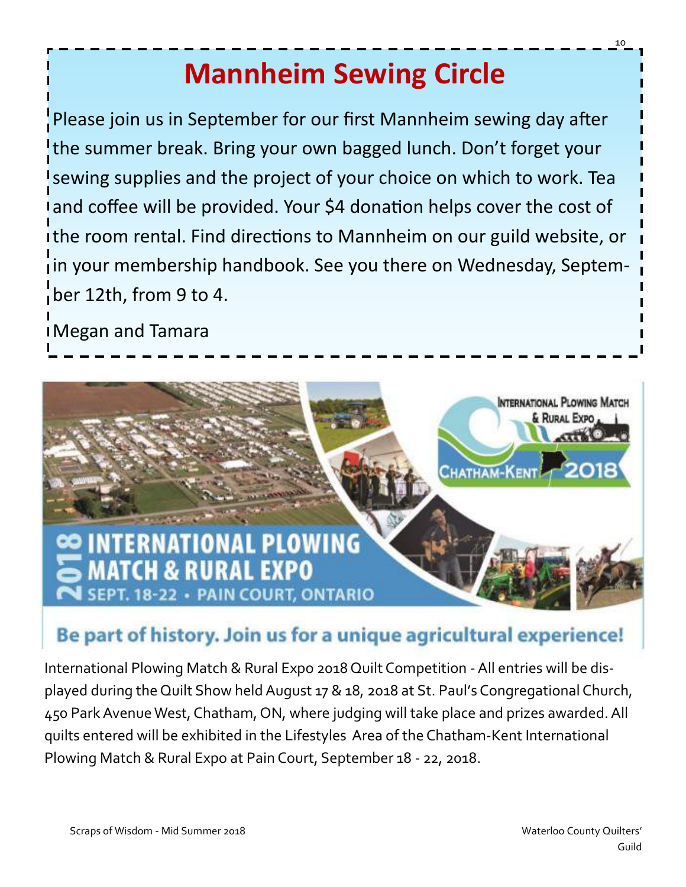# **Mannheim Sewing Circle**

Please join us in September for our first Mannheim sewing day after the summer break. Bring your own bagged lunch. Don't forget your sewing supplies and the project of your choice on which to work. Tea and coffee will be provided. Your \$4 donation helps cover the cost of the room rental. Find directions to Mannheim on our guild website, or in your membership handbook. See you there on Wednesday, September 12th, from 9 to 4.

Megan and Tamara



### Be part of history. Join us for a unique agricultural experience!

International Plowing Match & Rural Expo 2018 Quilt Competition -All entries will be displayed during the Quilt Show held August 17 & 18, 2018 at St. Paul's Congregational Church, 450 Park Avenue West, Chatham, ON, where judging will take place and prizes awarded. All quilts entered will be exhibited in the Lifestyles Area of the Chatham-Kent International Plowing Match & Rural Expo at Pain Court, September 18 - 22, 2018.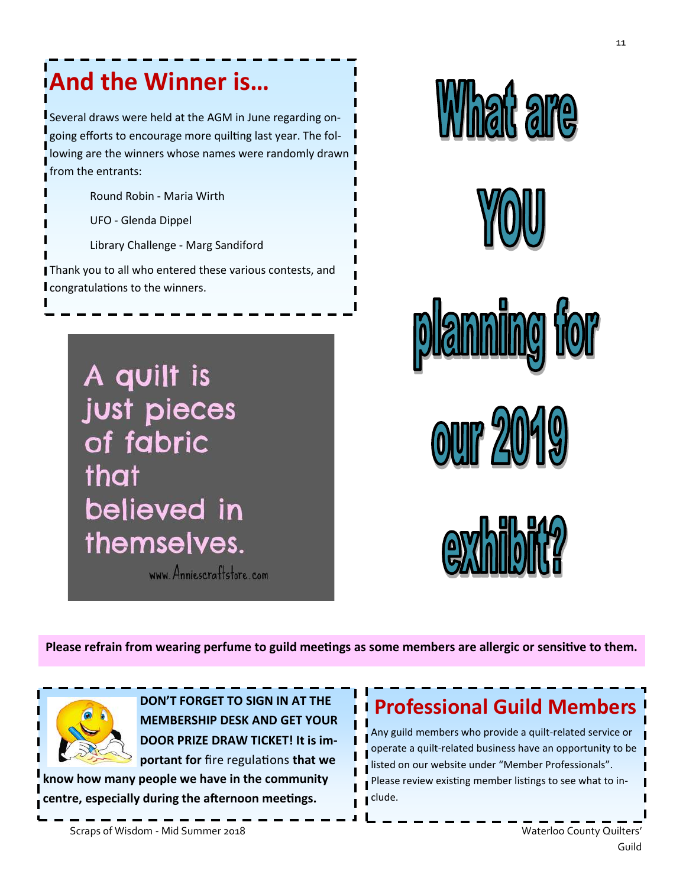## **And the Winner is…**

Several draws were held at the AGM in June regarding ongoing efforts to encourage more quilting last year. The following are the winners whose names were randomly drawn from the entrants:

Round Robin - Maria Wirth

UFO - Glenda Dippel

Library Challenge - Marg Sandiford

Thank you to all who entered these various contests, and congratulations to the winners.

> A quilt is just pieces of fabric that believed in themselves.

www. Anniescraftstore.com







**OUIT 201** 



**Please refrain from wearing perfume to guild meetings as some members are allergic or sensitive to them.**



**DON'T FORGET TO SIGN IN AT THE MEMBERSHIP DESK AND GET YOUR DOOR PRIZE DRAW TICKET! It is important for** fire regulations **that we** 

**know how many people we have in the community centre, especially during the afternoon meetings.**

### **Professional Guild Members**

Any guild members who provide a quilt-related service or operate a quilt-related business have an opportunity to be listed on our website under "Member Professionals". Please review existing member listings to see what to include.

Scraps of Wisdom - Mid Summer 2018 Waterloo County Quilters' National Business County Quilters'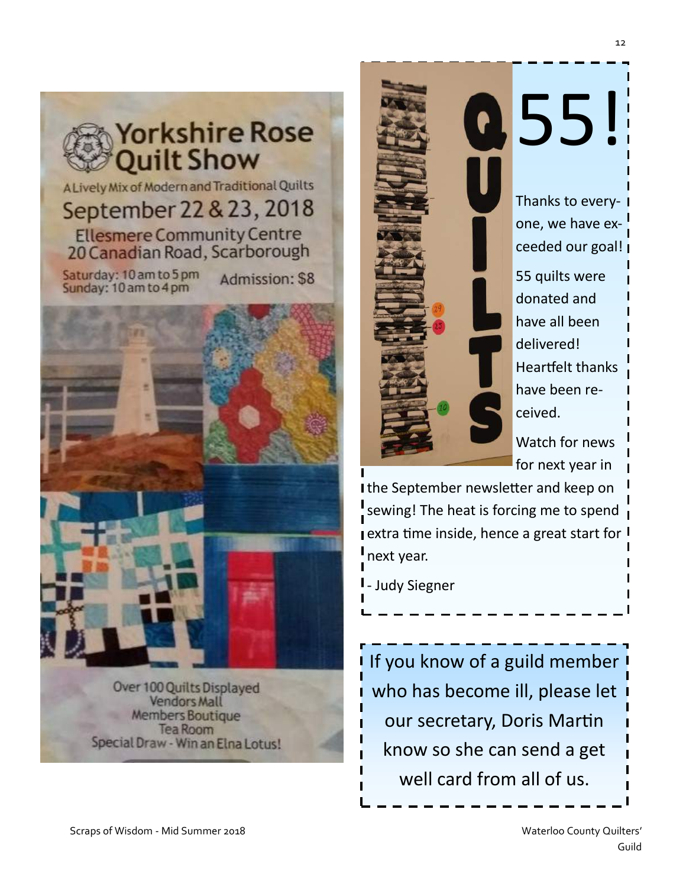

A Lively Mix of Modern and Traditional Quilts September 22 & 23, 2018 **Ellesmere Community Centre** 20 Canadian Road, Scarborough

Saturday: 10 am to 5 pm Sunday: 10 am to 4 pm

Admission: \$8



**Vendors Mall Members Boutique** Tea Room Special Draw - Win an Elna Lotus!



Thanks to everyone, we have exceeded our goal! 55 quilts were donated and have all been delivered! Heartfelt thanks have been received.

Watch for news for next year in

the September newsletter and keep on sewing! The heat is forcing me to spend **extra time inside, hence a great start for I** next year.

- Judy Siegner

If you know of a guild member who has become ill, please let our secretary, Doris Martin know so she can send a get well card from all of us.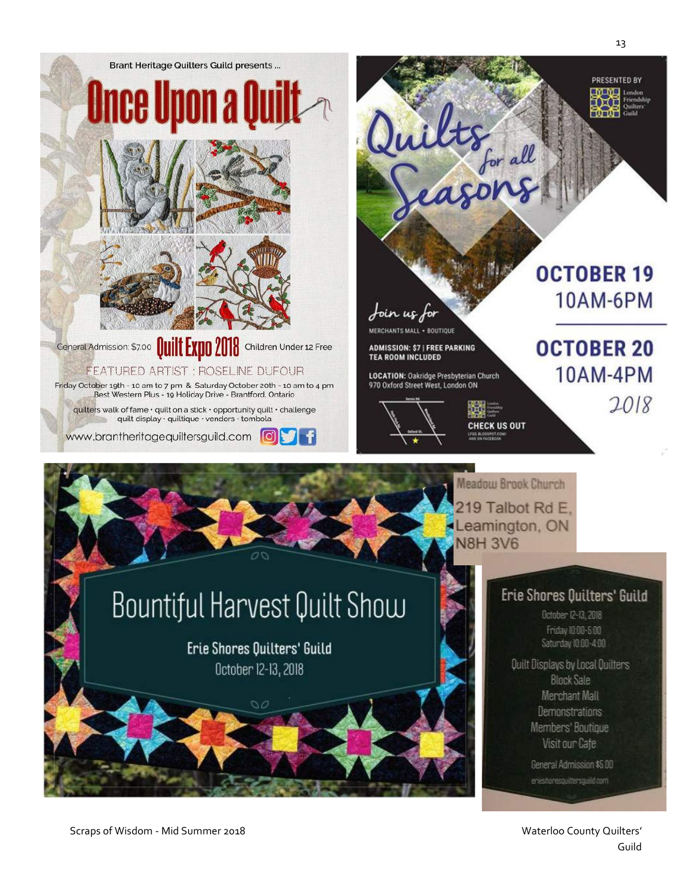

Scraps of Wisdom - Mid Summer 2018 Waterloo County Quilters' Natural Material Occurs of Waterloo County Quilters'

Guild